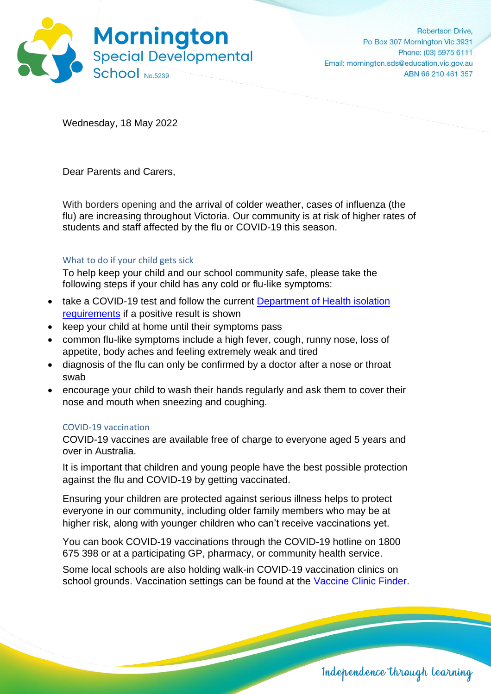

Wednesday, 18 May 2022

Dear Parents and Carers,

With borders opening and the arrival of colder weather, cases of influenza (the flu) are increasing throughout Victoria. Our community is at risk of higher rates of students and staff affected by the flu or COVID-19 this season.

## What to do if your child gets sick

To help keep your child and our school community safe, please take the following steps if your child has any cold or flu-like symptoms:

- take a COVID-19 test and follow the current Department of Health isolation [requirements](https://www.coronavirus.vic.gov.au/checklist-cases) if a positive result is shown
- keep your child at home until their symptoms pass
- common flu-like symptoms include a high fever, cough, runny nose, loss of appetite, body aches and feeling extremely weak and tired
- diagnosis of the flu can only be confirmed by a doctor after a nose or throat swab
- encourage your child to wash their hands regularly and ask them to cover their nose and mouth when sneezing and coughing.

## COVID-19 vaccination

COVID-19 vaccines are available free of charge to everyone aged 5 years and over in Australia.

It is important that children and young people have the best possible protection against the flu and COVID-19 by getting vaccinated.

Ensuring your children are protected against serious illness helps to protect everyone in our community, including older family members who may be at higher risk, along with younger children who can't receive vaccinations yet.

You can book COVID-19 vaccinations through the COVID-19 hotline on 1800 675 398 or at a participating GP, pharmacy, or community health service.

Some local schools are also holding walk-in COVID-19 vaccination clinics on school grounds. Vaccination settings can be found at the [Vaccine Clinic Finder.](https://aus01.safelinks.protection.outlook.com/?url=https%3A%2F%2Fcovid-vaccine.healthdirect.gov.au%2Feligibility%3Flang%3Den&data=04%7C01%7CNick.Orchard%40education.vic.gov.au%7C8275f997e03b433148f008da160ef796%7Cd96cb3371a8744cfb69b3cec334a4c1f%7C0%7C0%7C637846550776654726%7CUnknown%7CTWFpbGZsb3d8eyJWIjoiMC4wLjAwMDAiLCJQIjoiV2luMzIiLCJBTiI6Ik1haWwiLCJXVCI6Mn0%3D%7C3000&sdata=aWZtN2l%2BhN6gB997PnYeLjCHbr%2Ftn1gmk6SttJoyihk%3D&reserved=0)

Independence through learning